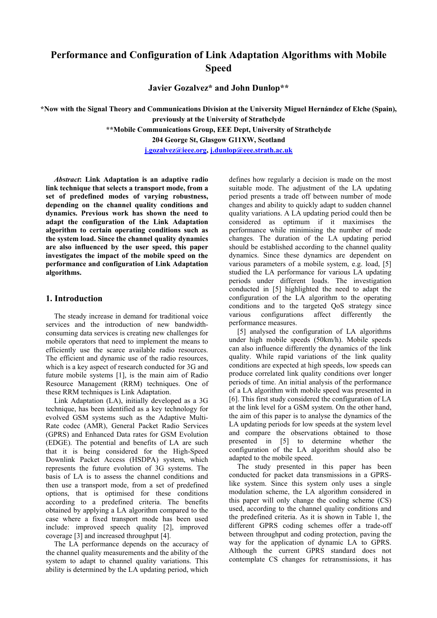# **Performance and Configuration of Link Adaptation Algorithms with Mobile Speed**

**Javier Gozalvez\* and John Dunlop\*\*** 

**\*Now with the Signal Theory and Communications Division at the University Miguel Hernández of Elche (Spain), previously at the University of Strathclyde** 

**\*\*Mobile Communications Group, EEE Dept, University of Strathclyde** 

**204 George St, Glasgow G11XW, Scotland** 

**j.gozalvez@ieee.org, j.dunlop@eee.strath.ac.uk**

*Abstract***: Link Adaptation is an adaptive radio link technique that selects a transport mode, from a set of predefined modes of varying robustness, depending on the channel quality conditions and dynamics. Previous work has shown the need to adapt the configuration of the Link Adaptation algorithm to certain operating conditions such as the system load. Since the channel quality dynamics are also influenced by the user speed, this paper investigates the impact of the mobile speed on the performance and configuration of Link Adaptation algorithms.** 

# **1. Introduction**

The steady increase in demand for traditional voice services and the introduction of new bandwidthconsuming data services is creating new challenges for mobile operators that need to implement the means to efficiently use the scarce available radio resources. The efficient and dynamic use of the radio resources, which is a key aspect of research conducted for 3G and future mobile systems [1], is the main aim of Radio Resource Management (RRM) techniques. One of these RRM techniques is Link Adaptation.

Link Adaptation (LA), initially developed as a 3G technique, has been identified as a key technology for evolved GSM systems such as the Adaptive Multi-Rate codec (AMR), General Packet Radio Services (GPRS) and Enhanced Data rates for GSM Evolution (EDGE). The potential and benefits of LA are such that it is being considered for the High-Speed Downlink Packet Access (HSDPA) system, which represents the future evolution of 3G systems. The basis of LA is to assess the channel conditions and then use a transport mode, from a set of predefined options, that is optimised for these conditions according to a predefined criteria. The benefits obtained by applying a LA algorithm compared to the case where a fixed transport mode has been used include: improved speech quality [2], improved coverage [3] and increased throughput [4].

The LA performance depends on the accuracy of the channel quality measurements and the ability of the system to adapt to channel quality variations. This ability is determined by the LA updating period, which defines how regularly a decision is made on the most suitable mode. The adjustment of the LA updating period presents a trade off between number of mode changes and ability to quickly adapt to sudden channel quality variations. A LA updating period could then be considered as optimum if it maximises the performance while minimising the number of mode changes. The duration of the LA updating period should be established according to the channel quality dynamics. Since these dynamics are dependent on various parameters of a mobile system, e.g. load, [5] studied the LA performance for various LA updating periods under different loads. The investigation conducted in [5] highlighted the need to adapt the configuration of the LA algorithm to the operating conditions and to the targeted QoS strategy since various configurations affect differently the performance measures.

[5] analysed the configuration of LA algorithms under high mobile speeds (50km/h). Mobile speeds can also influence differently the dynamics of the link quality. While rapid variations of the link quality conditions are expected at high speeds, low speeds can produce correlated link quality conditions over longer periods of time. An initial analysis of the performance of a LA algorithm with mobile speed was presented in [6]. This first study considered the configuration of LA at the link level for a GSM system. On the other hand, the aim of this paper is to analyse the dynamics of the LA updating periods for low speeds at the system level and compare the observations obtained to those presented in [5] to determine whether the configuration of the LA algorithm should also be adapted to the mobile speed.

The study presented in this paper has been conducted for packet data transmissions in a GPRSlike system. Since this system only uses a single modulation scheme, the LA algorithm considered in this paper will only change the coding scheme (CS) used, according to the channel quality conditions and the predefined criteria. As it is shown in Table 1, the different GPRS coding schemes offer a trade-off between throughput and coding protection, paving the way for the application of dynamic LA to GPRS. Although the current GPRS standard does not contemplate CS changes for retransmissions, it has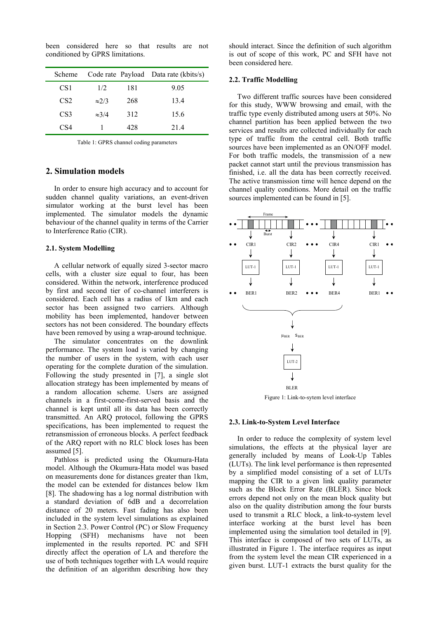been considered here so that results are not conditioned by GPRS limitations.

| Scheme          |               |     | Code rate Payload Data rate (kbits/s) |
|-----------------|---------------|-----|---------------------------------------|
| CS1             | 1/2           | 181 | 9.05                                  |
| CS <sub>2</sub> | $\approx$ 2/3 | 268 | 13.4                                  |
| CS <sub>3</sub> | $\approx 3/4$ | 312 | 15.6                                  |
| CS4             |               | 428 | 214                                   |

Table 1: GPRS channel coding parameters

# **2. Simulation models**

In order to ensure high accuracy and to account for sudden channel quality variations, an event-driven simulator working at the burst level has been implemented. The simulator models the dynamic behaviour of the channel quality in terms of the Carrier to Interference Ratio (CIR).

## **2.1. System Modelling**

A cellular network of equally sized 3-sector macro cells, with a cluster size equal to four, has been considered. Within the network, interference produced by first and second tier of co-channel interferers is considered. Each cell has a radius of 1km and each sector has been assigned two carriers. Although mobility has been implemented, handover between sectors has not been considered. The boundary effects have been removed by using a wrap-around technique.

The simulator concentrates on the downlink performance. The system load is varied by changing the number of users in the system, with each user operating for the complete duration of the simulation. Following the study presented in [7], a single slot allocation strategy has been implemented by means of a random allocation scheme. Users are assigned channels in a first-come-first-served basis and the channel is kept until all its data has been correctly transmitted. An ARQ protocol, following the GPRS specifications, has been implemented to request the retransmission of erroneous blocks. A perfect feedback of the ARQ report with no RLC block loses has been assumed [5].

Pathloss is predicted using the Okumura-Hata model. Although the Okumura-Hata model was based on measurements done for distances greater than 1km, the model can be extended for distances below 1km [8]. The shadowing has a log normal distribution with a standard deviation of 6dB and a decorrelation distance of 20 meters. Fast fading has also been included in the system level simulations as explained in Section 2.3. Power Control (PC) or Slow Frequency Hopping (SFH) mechanisms have not been implemented in the results reported. PC and SFH directly affect the operation of LA and therefore the use of both techniques together with LA would require the definition of an algorithm describing how they

should interact. Since the definition of such algorithm is out of scope of this work, PC and SFH have not been considered here.

## **2.2. Traffic Modelling**

Two different traffic sources have been considered for this study, WWW browsing and email, with the traffic type evenly distributed among users at 50%. No channel partition has been applied between the two services and results are collected individually for each type of traffic from the central cell. Both traffic sources have been implemented as an ON/OFF model. For both traffic models, the transmission of a new packet cannot start until the previous transmission has finished, i.e. all the data has been correctly received. The active transmission time will hence depend on the channel quality conditions. More detail on the traffic sources implemented can be found in [5].



Figure 1: Link-to-sytem level interface

#### **2.3. Link-to-System Level Interface**

In order to reduce the complexity of system level simulations, the effects at the physical layer are generally included by means of Look-Up Tables (LUTs). The link level performance is then represented by a simplified model consisting of a set of LUTs mapping the CIR to a given link quality parameter such as the Block Error Rate (BLER). Since block errors depend not only on the mean block quality but also on the quality distribution among the four bursts used to transmit a RLC block, a link-to-system level interface working at the burst level has been implemented using the simulation tool detailed in [9]. This interface is composed of two sets of LUTs, as illustrated in Figure 1. The interface requires as input from the system level the mean CIR experienced in a given burst. LUT-1 extracts the burst quality for the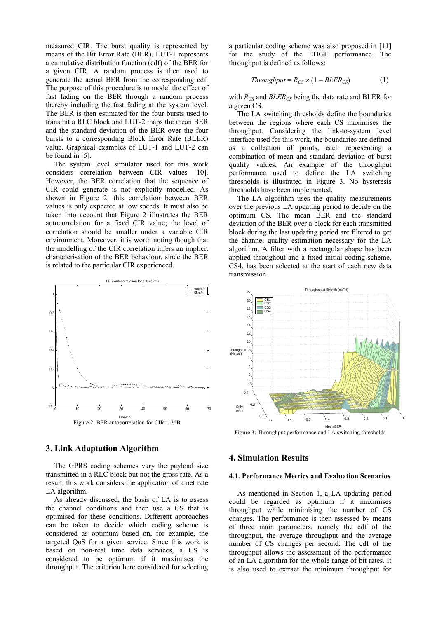measured CIR. The burst quality is represented by means of the Bit Error Rate (BER). LUT-1 represents a cumulative distribution function (cdf) of the BER for a given CIR. A random process is then used to generate the actual BER from the corresponding cdf. The purpose of this procedure is to model the effect of fast fading on the BER through a random process thereby including the fast fading at the system level. The BER is then estimated for the four bursts used to transmit a RLC block and LUT-2 maps the mean BER and the standard deviation of the BER over the four bursts to a corresponding Block Error Rate (BLER) value. Graphical examples of LUT-1 and LUT-2 can be found in [5].

The system level simulator used for this work considers correlation between CIR values [10]. However, the BER correlation that the sequence of CIR could generate is not explicitly modelled. As shown in Figure 2, this correlation between BER values is only expected at low speeds. It must also be taken into account that Figure 2 illustrates the BER autocorrelation for a fixed CIR value; the level of correlation should be smaller under a variable CIR environment. Moreover, it is worth noting though that the modelling of the CIR correlation infers an implicit characterisation of the BER behaviour, since the BER is related to the particular CIR experienced.



# **3. Link Adaptation Algorithm**

The GPRS coding schemes vary the payload size transmitted in a RLC block but not the gross rate. As a result, this work considers the application of a net rate LA algorithm.

As already discussed, the basis of LA is to assess the channel conditions and then use a CS that is optimised for these conditions. Different approaches can be taken to decide which coding scheme is considered as optimum based on, for example, the targeted QoS for a given service. Since this work is based on non-real time data services, a CS is considered to be optimum if it maximises the throughput. The criterion here considered for selecting

a particular coding scheme was also proposed in [11] for the study of the EDGE performance. The throughput is defined as follows:

$$
Throughout = R_{CS} \times (1 - BLER_{CS}) \tag{1}
$$

with  $R_{CS}$  and  $BLER_{CS}$  being the data rate and BLER for a given CS.

The LA switching thresholds define the boundaries between the regions where each CS maximises the throughput. Considering the link-to-system level interface used for this work, the boundaries are defined as a collection of points, each representing a combination of mean and standard deviation of burst quality values. An example of the throughput performance used to define the LA switching thresholds is illustrated in Figure 3. No hysteresis thresholds have been implemented.

The LA algorithm uses the quality measurements over the previous LA updating period to decide on the optimum CS. The mean BER and the standard deviation of the BER over a block for each transmitted block during the last updating period are filtered to get the channel quality estimation necessary for the LA algorithm. A filter with a rectangular shape has been applied throughout and a fixed initial coding scheme, CS4, has been selected at the start of each new data transmission.



Figure 3: Throughput performance and LA switching thresholds

## **4. Simulation Results**

#### **4.1. Performance Metrics and Evaluation Scenarios**

As mentioned in Section 1, a LA updating period could be regarded as optimum if it maximises throughput while minimising the number of CS changes. The performance is then assessed by means of three main parameters, namely the cdf of the throughput, the average throughput and the average number of CS changes per second. The cdf of the throughput allows the assessment of the performance of an LA algorithm for the whole range of bit rates. It is also used to extract the minimum throughput for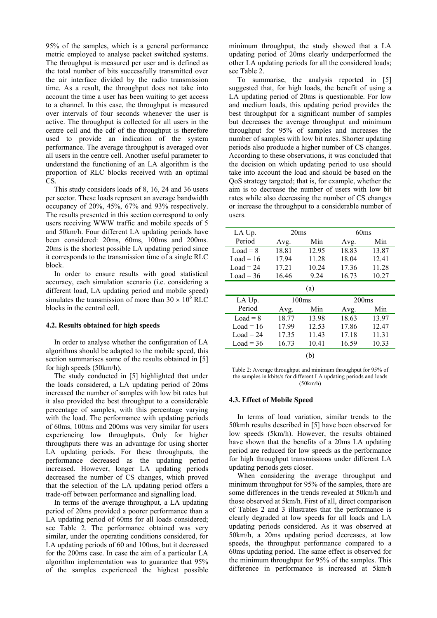95% of the samples, which is a general performance metric employed to analyse packet switched systems. The throughput is measured per user and is defined as the total number of bits successfully transmitted over the air interface divided by the radio transmission time. As a result, the throughput does not take into account the time a user has been waiting to get access to a channel. In this case, the throughput is measured over intervals of four seconds whenever the user is active. The throughput is collected for all users in the centre cell and the cdf of the throughput is therefore used to provide an indication of the system performance. The average throughput is averaged over all users in the centre cell. Another useful parameter to understand the functioning of an LA algorithm is the proportion of RLC blocks received with an optimal CS.

This study considers loads of 8, 16, 24 and 36 users per sector. These loads represent an average bandwidth occupancy of 20%, 45%, 67% and 93% respectively. The results presented in this section correspond to only users receiving WWW traffic and mobile speeds of 5 and 50km/h. Four different LA updating periods have been considered: 20ms, 60ms, 100ms and 200ms. 20ms is the shortest possible LA updating period since it corresponds to the transmission time of a single RLC block.

In order to ensure results with good statistical accuracy, each simulation scenario (i.e. considering a different load, LA updating period and mobile speed) simulates the transmission of more than  $30 \times 10^6$  RLC blocks in the central cell.

## **4.2. Results obtained for high speeds**

In order to analyse whether the configuration of LA algorithms should be adapted to the mobile speed, this section summarises some of the results obtained in [5] for high speeds (50km/h).

The study conducted in [5] highlighted that under the loads considered, a LA updating period of 20ms increased the number of samples with low bit rates but it also provided the best throughput to a considerable percentage of samples, with this percentage varying with the load. The performance with updating periods of 60ms, 100ms and 200ms was very similar for users experiencing low throughputs. Only for higher throughputs there was an advantage for using shorter LA updating periods. For these throughputs, the performance decreased as the updating period increased. However, longer LA updating periods decreased the number of CS changes, which proved that the selection of the LA updating period offers a trade-off between performance and signalling load.

In terms of the average throughput, a LA updating period of 20ms provided a poorer performance than a LA updating period of 60ms for all loads considered; see Table 2. The performance obtained was very similar, under the operating conditions considered, for LA updating periods of 60 and 100ms, but it decreased for the 200ms case. In case the aim of a particular LA algorithm implementation was to guarantee that 95% of the samples experienced the highest possible

minimum throughput, the study showed that a LA updating period of 20ms clearly underperformed the other LA updating periods for all the considered loads; see Table 2.

To summarise, the analysis reported in [5] suggested that, for high loads, the benefit of using a LA updating period of 20ms is questionable. For low and medium loads, this updating period provides the best throughput for a significant number of samples but decreases the average throughput and minimum throughput for 95% of samples and increases the number of samples with low bit rates. Shorter updating periods also producde a higher number of CS changes. According to these observations, it was concluded that the decision on which updating period to use should take into account the load and should be based on the QoS strategy targeted; that is, for example, whether the aim is to decrease the number of users with low bit rates while also decreasing the number of CS changes or increase the throughput to a considerable number of users.

| LA Up.      | 20ms  |       | 60ms  |       |  |  |  |
|-------------|-------|-------|-------|-------|--|--|--|
| Period      | Avg.  | Min   | Avg.  | Min   |  |  |  |
| $Load = 8$  | 18.81 | 12.95 | 18.83 | 13.87 |  |  |  |
| $Load = 16$ | 17.94 | 11.28 | 18.04 | 12.41 |  |  |  |
| $Load = 24$ | 17.21 | 10.24 | 17.36 | 11.28 |  |  |  |
| $Load = 36$ | 16.46 | 9.24  | 16.73 | 10.27 |  |  |  |
| (a)         |       |       |       |       |  |  |  |
|             |       |       |       |       |  |  |  |
| LA Up.      |       | 100ms | 200ms |       |  |  |  |
| Period      | Avg.  | Min   | Avg.  | Min   |  |  |  |
| $Load = 8$  | 18.77 | 13.98 | 18.63 | 13.97 |  |  |  |
| $Load = 16$ | 17.99 | 12.53 | 17.86 | 12.47 |  |  |  |
| $Load = 24$ | 17.35 | 11.43 | 17.18 | 11.31 |  |  |  |
| $Load = 36$ | 16.73 | 10.41 | 16.59 | 10.33 |  |  |  |

Table 2: Average throughput and minimum throughput for 95% of the samples in kbits/s for different LA updating periods and loads (50km/h)

#### **4.3. Effect of Mobile Speed**

In terms of load variation, similar trends to the 50kmh results described in [5] have been observed for low speeds (5km/h). However, the results obtained have shown that the benefits of a 20ms LA updating period are reduced for low speeds as the performance for high throughput transmissions under different LA updating periods gets closer.

When considering the average throughput and minimum throughput for 95% of the samples, there are some differences in the trends revealed at 50km/h and those observed at 5km/h. First of all, direct comparison of Tables 2 and 3 illustrates that the performance is clearly degraded at low speeds for all loads and LA updating periods considered. As it was observed at 50km/h, a 20ms updating period decreases, at low speeds, the throughput performance compared to a 60ms updating period. The same effect is observed for the minimum throughput for 95% of the samples. This difference in performance is increased at 5km/h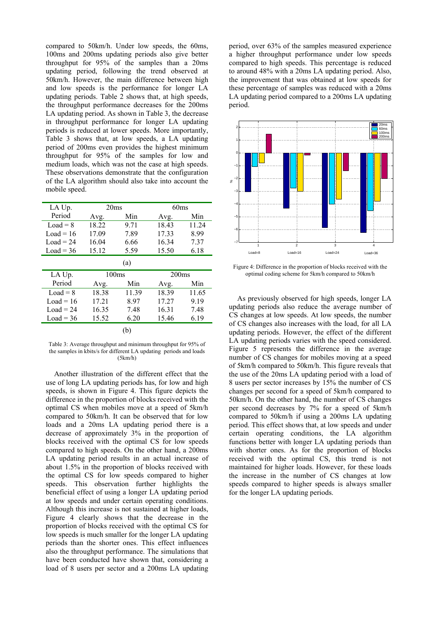compared to 50km/h. Under low speeds, the 60ms, 100ms and 200ms updating periods also give better throughput for 95% of the samples than a 20ms updating period, following the trend observed at 50km/h. However, the main difference between high and low speeds is the performance for longer LA updating periods. Table 2 shows that, at high speeds, the throughput performance decreases for the 200ms LA updating period. As shown in Table 3, the decrease in throughput performance for longer LA updating periods is reduced at lower speeds. More importantly, Table 3 shows that, at low speeds, a LA updating period of 200ms even provides the highest minimum throughput for 95% of the samples for low and medium loads, which was not the case at high speeds. These observations demonstrate that the configuration of the LA algorithm should also take into account the mobile speed.

| LA Up.      | 20ms  |       | 60ms  |       |  |  |  |
|-------------|-------|-------|-------|-------|--|--|--|
| Period      | Avg.  | Min   | Avg.  | Min   |  |  |  |
| $Load = 8$  | 18.22 | 9.71  | 18.43 | 11.24 |  |  |  |
| $Load = 16$ | 17.09 | 7.89  | 17.33 | 8.99  |  |  |  |
| Load = $24$ | 16.04 | 6.66  | 16.34 | 7.37  |  |  |  |
| $Load = 36$ | 15.12 | 5.59  | 15.50 | 6.18  |  |  |  |
| (a)         |       |       |       |       |  |  |  |
| LA Up.      | 100ms |       | 200ms |       |  |  |  |
| Period      | Avg.  | Min   | Avg.  | Min   |  |  |  |
| $Load = 8$  | 18.38 | 11.39 | 18.39 | 11.65 |  |  |  |
| $Load = 16$ | 17.21 | 8.97  | 17.27 | 9.19  |  |  |  |
| $Load = 24$ | 16.35 | 7.48  | 16.31 | 7.48  |  |  |  |
| $Load = 36$ | 15.52 | 6.20  | 15.46 | 6.19  |  |  |  |
| b)          |       |       |       |       |  |  |  |

Table 3: Average throughput and minimum throughput for 95% of the samples in kbits/s for different LA updating periods and loads (5km/h)

Another illustration of the different effect that the use of long LA updating periods has, for low and high speeds, is shown in Figure 4. This figure depicts the difference in the proportion of blocks received with the optimal CS when mobiles move at a speed of 5km/h compared to 50km/h. It can be observed that for low loads and a 20ms LA updating period there is a decrease of approximately 3% in the proportion of blocks received with the optimal CS for low speeds compared to high speeds. On the other hand, a 200ms LA updating period results in an actual increase of about 1.5% in the proportion of blocks received with the optimal CS for low speeds compared to higher speeds. This observation further highlights the beneficial effect of using a longer LA updating period at low speeds and under certain operating conditions. Although this increase is not sustained at higher loads, Figure 4 clearly shows that the decrease in the proportion of blocks received with the optimal CS for low speeds is much smaller for the longer LA updating periods than the shorter ones. This effect influences also the throughput performance. The simulations that have been conducted have shown that, considering a load of 8 users per sector and a 200ms LA updating period, over 63% of the samples measured experience a higher throughput performance under low speeds compared to high speeds. This percentage is reduced to around 48% with a 20ms LA updating period. Also, the improvement that was obtained at low speeds for these percentage of samples was reduced with a 20ms LA updating period compared to a 200ms LA updating period.



Figure 4: Difference in the proportion of blocks received with the optimal coding scheme for 5km/h compared to 50km/h

As previously observed for high speeds, longer LA updating periods also reduce the average number of CS changes at low speeds. At low speeds, the number of CS changes also increases with the load, for all LA updating periods. However, the effect of the different LA updating periods varies with the speed considered. Figure 5 represents the difference in the average number of CS changes for mobiles moving at a speed of 5km/h compared to 50km/h. This figure reveals that the use of the 20ms LA updating period with a load of 8 users per sector increases by 15% the number of CS changes per second for a speed of 5km/h compared to 50km/h. On the other hand, the number of CS changes per second decreases by 7% for a speed of 5km/h compared to 50km/h if using a 200ms LA updating period. This effect shows that, at low speeds and under certain operating conditions, the LA algorithm functions better with longer LA updating periods than with shorter ones. As for the proportion of blocks received with the optimal CS, this trend is not maintained for higher loads. However, for these loads the increase in the number of CS changes at low speeds compared to higher speeds is always smaller for the longer LA updating periods.